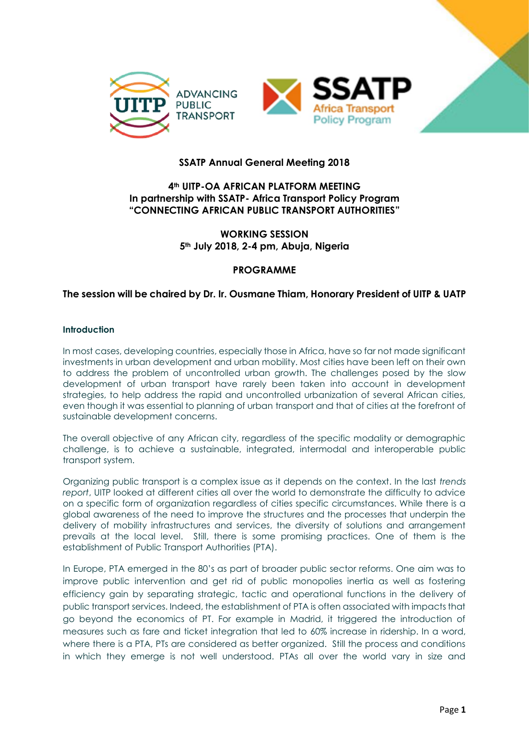

# **SSATP Annual General Meeting 2018**

## **4th UITP-OA AFRICAN PLATFORM MEETING In partnership with SSATP- Africa Transport Policy Program "CONNECTING AFRICAN PUBLIC TRANSPORT AUTHORITIES"**

## **WORKING SESSION 5th July 2018, 2-4 pm, Abuja, Nigeria**

## **PROGRAMME**

## **The session will be chaired by Dr. Ir. Ousmane Thiam, Honorary President of UITP & UATP**

#### **Introduction**

In most cases, developing countries, especially those in Africa, have so far not made significant investments in urban development and urban mobility. Most cities have been left on their own to address the problem of uncontrolled urban growth. The challenges posed by the slow development of urban transport have rarely been taken into account in development strategies, to help address the rapid and uncontrolled urbanization of several African cities, even though it was essential to planning of urban transport and that of cities at the forefront of sustainable development concerns.

The overall objective of any African city, regardless of the specific modality or demographic challenge, is to achieve a sustainable, integrated, intermodal and interoperable public transport system.

Organizing public transport is a complex issue as it depends on the context. In the last *trends report*, UITP looked at different cities all over the world to demonstrate the difficulty to advice on a specific form of organization regardless of cities specific circumstances. While there is a global awareness of the need to improve the structures and the processes that underpin the delivery of mobility infrastructures and services, the diversity of solutions and arrangement prevails at the local level. Still, there is some promising practices. One of them is the establishment of Public Transport Authorities (PTA).

In Europe, PTA emerged in the 80's as part of broader public sector reforms. One aim was to improve public intervention and get rid of public monopolies inertia as well as fostering efficiency gain by separating strategic, tactic and operational functions in the delivery of public transport services. Indeed, the establishment of PTA is often associated with impacts that go beyond the economics of PT. For example in Madrid, it triggered the introduction of measures such as fare and ticket integration that led to 60% increase in ridership. In a word, where there is a PTA, PTs are considered as better organized. Still the process and conditions in which they emerge is not well understood. PTAs all over the world vary in size and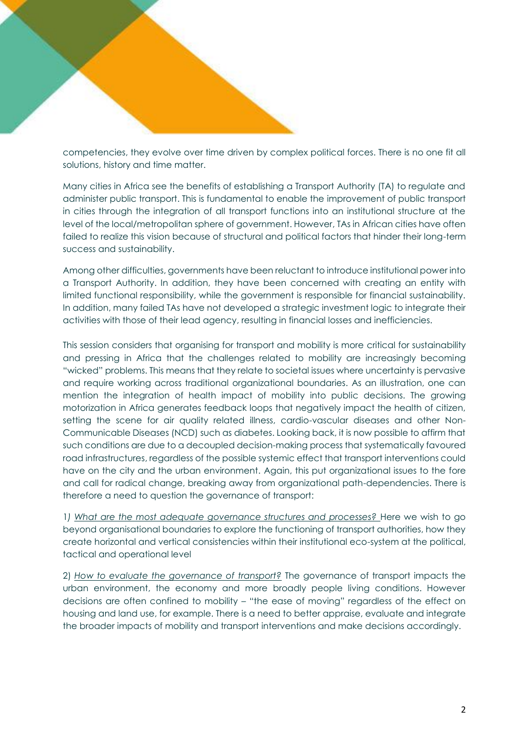competencies, they evolve over time driven by complex political forces. There is no one fit all solutions, history and time matter.

Many cities in Africa see the benefits of establishing a Transport Authority (TA) to regulate and administer public transport. This is fundamental to enable the improvement of public transport in cities through the integration of all transport functions into an institutional structure at the level of the local/metropolitan sphere of government. However, TAs in African cities have often failed to realize this vision because of structural and political factors that hinder their long-term success and sustainability.

Among other difficulties, governments have been reluctant to introduce institutional power into a Transport Authority. In addition, they have been concerned with creating an entity with limited functional responsibility, while the government is responsible for financial sustainability. In addition, many failed TAs have not developed a strategic investment logic to integrate their activities with those of their lead agency, resulting in financial losses and inefficiencies.

This session considers that organising for transport and mobility is more critical for sustainability and pressing in Africa that the challenges related to mobility are increasingly becoming "wicked" problems. This means that they relate to societal issues where uncertainty is pervasive and require working across traditional organizational boundaries. As an illustration, one can mention the integration of health impact of mobility into public decisions. The growing motorization in Africa generates feedback loops that negatively impact the health of citizen, setting the scene for air quality related illness, cardio-vascular diseases and other Non-Communicable Diseases (NCD) such as diabetes. Looking back, it is now possible to affirm that such conditions are due to a decoupled decision-making process that systematically favoured road infrastructures, regardless of the possible systemic effect that transport interventions could have on the city and the urban environment. Again, this put organizational issues to the fore and call for radical change, breaking away from organizational path-dependencies. There is therefore a need to question the governance of transport:

1*) What are the most adequate governance structures and processes?* Here we wish to go beyond organisational boundaries to explore the functioning of transport authorities, how they create horizontal and vertical consistencies within their institutional eco-system at the political, tactical and operational level

2) *How to evaluate the governance of transport?* The governance of transport impacts the urban environment, the economy and more broadly people living conditions. However decisions are often confined to mobility – "the ease of moving" regardless of the effect on housing and land use, for example. There is a need to better appraise, evaluate and integrate the broader impacts of mobility and transport interventions and make decisions accordingly.